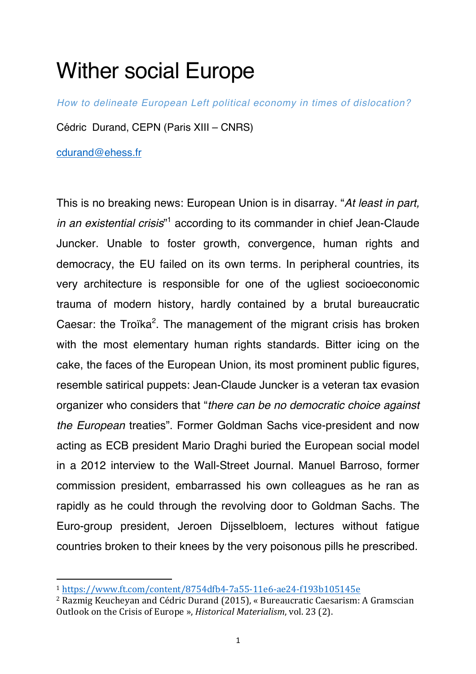## Wither social Europe

*How to delineate European Left political economy in times of dislocation?*

Cédric Durand, CEPN (Paris XIII – CNRS)

cdurand@ehess.fr

This is no breaking news: European Union is in disarray. "*At least in part,*  in an existential crisis"<sup>1</sup> according to its commander in chief Jean-Claude Juncker. Unable to foster growth, convergence, human rights and democracy, the EU failed on its own terms. In peripheral countries, its very architecture is responsible for one of the ugliest socioeconomic trauma of modern history, hardly contained by a brutal bureaucratic Caesar: the Troïka<sup>2</sup>. The management of the migrant crisis has broken with the most elementary human rights standards. Bitter icing on the cake, the faces of the European Union, its most prominent public figures, resemble satirical puppets: Jean-Claude Juncker is a veteran tax evasion organizer who considers that "*there can be no democratic choice against the European* treaties". Former Goldman Sachs vice-president and now acting as ECB president Mario Draghi buried the European social model in a 2012 interview to the Wall-Street Journal. Manuel Barroso, former commission president, embarrassed his own colleagues as he ran as rapidly as he could through the revolving door to Goldman Sachs. The Euro-group president, Jeroen Dijsselbloem, lectures without fatigue countries broken to their knees by the very poisonous pills he prescribed.

<sup>1</sup> https://www.ft.com/content/8754dfb4-7a55-11e6-ae24-f193b105145e

<sup>&</sup>lt;sup>2</sup> Razmig Keucheyan and Cédric Durand (2015), « Bureaucratic Caesarism: A Gramscian Outlook on the Crisis of Europe », *Historical Materialism*, vol. 23 (2).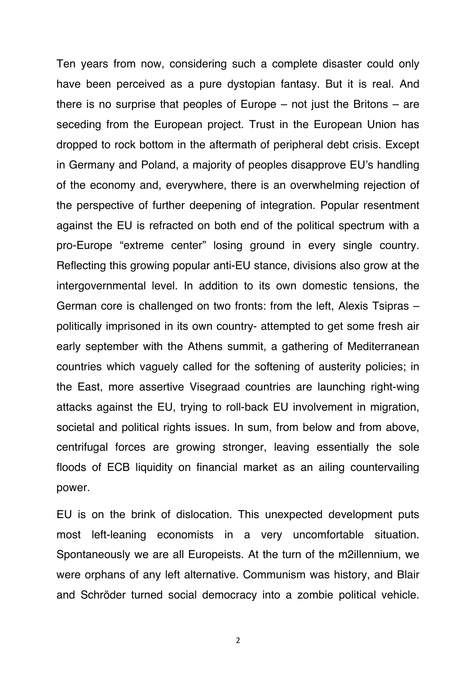Ten years from now, considering such a complete disaster could only have been perceived as a pure dystopian fantasy. But it is real. And there is no surprise that peoples of Europe  $-$  not just the Britons  $-$  are seceding from the European project. Trust in the European Union has dropped to rock bottom in the aftermath of peripheral debt crisis. Except in Germany and Poland, a majority of peoples disapprove EU's handling of the economy and, everywhere, there is an overwhelming rejection of the perspective of further deepening of integration. Popular resentment against the EU is refracted on both end of the political spectrum with a pro-Europe "extreme center" losing ground in every single country. Reflecting this growing popular anti-EU stance, divisions also grow at the intergovernmental level. In addition to its own domestic tensions, the German core is challenged on two fronts: from the left, Alexis Tsipras – politically imprisoned in its own country- attempted to get some fresh air early september with the Athens summit, a gathering of Mediterranean countries which vaguely called for the softening of austerity policies; in the East, more assertive Visegraad countries are launching right-wing attacks against the EU, trying to roll-back EU involvement in migration, societal and political rights issues. In sum, from below and from above, centrifugal forces are growing stronger, leaving essentially the sole floods of ECB liquidity on financial market as an ailing countervailing power.

EU is on the brink of dislocation. This unexpected development puts most left-leaning economists in a very uncomfortable situation. Spontaneously we are all Europeists. At the turn of the m2illennium, we were orphans of any left alternative. Communism was history, and Blair and Schröder turned social democracy into a zombie political vehicle.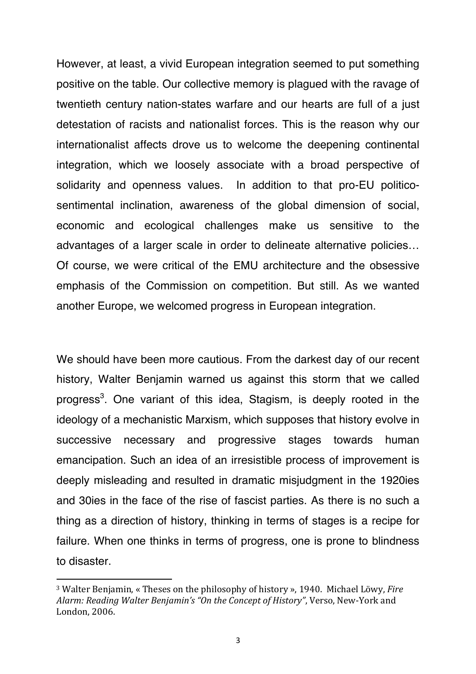However, at least, a vivid European integration seemed to put something positive on the table. Our collective memory is plagued with the ravage of twentieth century nation-states warfare and our hearts are full of a just detestation of racists and nationalist forces. This is the reason why our internationalist affects drove us to welcome the deepening continental integration, which we loosely associate with a broad perspective of solidarity and openness values. In addition to that pro-EU politicosentimental inclination, awareness of the global dimension of social, economic and ecological challenges make us sensitive to the advantages of a larger scale in order to delineate alternative policies… Of course, we were critical of the EMU architecture and the obsessive emphasis of the Commission on competition. But still. As we wanted another Europe, we welcomed progress in European integration.

We should have been more cautious. From the darkest day of our recent history, Walter Benjamin warned us against this storm that we called progress<sup>3</sup>. One variant of this idea, Stagism, is deeply rooted in the ideology of a mechanistic Marxism, which supposes that history evolve in successive necessary and progressive stages towards human emancipation. Such an idea of an irresistible process of improvement is deeply misleading and resulted in dramatic misjudgment in the 1920ies and 30ies in the face of the rise of fascist parties. As there is no such a thing as a direction of history, thinking in terms of stages is a recipe for failure. When one thinks in terms of progress, one is prone to blindness to disaster.

<sup>&</sup>lt;sup>3</sup> Walter Benjamin, « Theses on the philosophy of history », 1940. Michael Löwy, *Fire* Alarm: Reading Walter Benjamin's "On the Concept of History", Verso, New-York and London, 2006.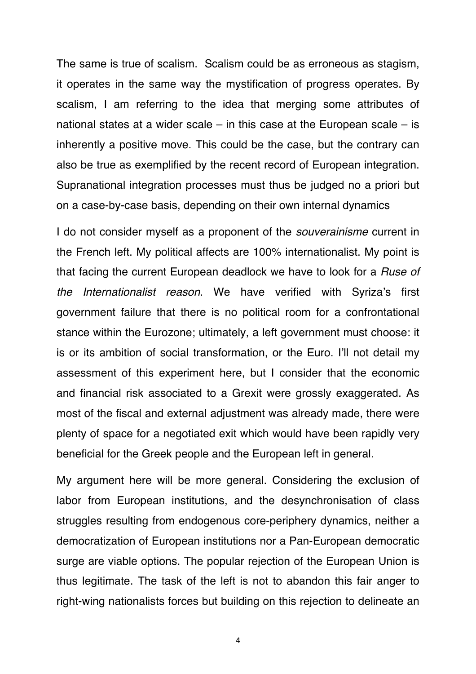The same is true of scalism. Scalism could be as erroneous as stagism, it operates in the same way the mystification of progress operates. By scalism, I am referring to the idea that merging some attributes of national states at a wider scale – in this case at the European scale – is inherently a positive move. This could be the case, but the contrary can also be true as exemplified by the recent record of European integration. Supranational integration processes must thus be judged no a priori but on a case-by-case basis, depending on their own internal dynamics

I do not consider myself as a proponent of the *souverainisme* current in the French left. My political affects are 100% internationalist. My point is that facing the current European deadlock we have to look for a *Ruse of the Internationalist reason*. We have verified with Syriza's first government failure that there is no political room for a confrontational stance within the Eurozone; ultimately, a left government must choose: it is or its ambition of social transformation, or the Euro. I'll not detail my assessment of this experiment here, but I consider that the economic and financial risk associated to a Grexit were grossly exaggerated. As most of the fiscal and external adjustment was already made, there were plenty of space for a negotiated exit which would have been rapidly very beneficial for the Greek people and the European left in general.

My argument here will be more general. Considering the exclusion of labor from European institutions, and the desynchronisation of class struggles resulting from endogenous core-periphery dynamics, neither a democratization of European institutions nor a Pan-European democratic surge are viable options. The popular rejection of the European Union is thus legitimate. The task of the left is not to abandon this fair anger to right-wing nationalists forces but building on this rejection to delineate an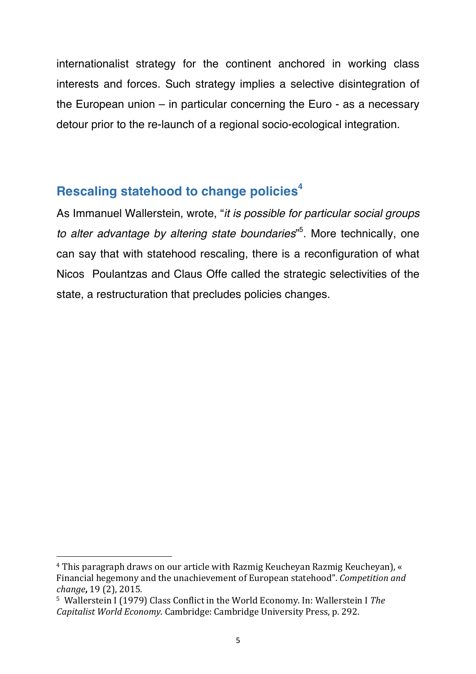internationalist strategy for the continent anchored in working class interests and forces. Such strategy implies a selective disintegration of the European union – in particular concerning the Euro - as a necessary detour prior to the re-launch of a regional socio-ecological integration.

## **Rescaling statehood to change policies<sup>4</sup>**

As Immanuel Wallerstein, wrote, "*it is possible for particular social groups to alter advantage by altering state boundaries*" 5 . More technically, one can say that with statehood rescaling, there is a reconfiguration of what Nicos Poulantzas and Claus Offe called the strategic selectivities of the state, a restructuration that precludes policies changes.

<sup>&</sup>lt;sup>4</sup> This paragraph draws on our article with Razmig Keucheyan Razmig Keucheyan), « Financial hegemony and the unachievement of European statehood". *Competition and change*, 19 (2), 2015.

<sup>&</sup>lt;sup>5</sup> Wallerstein I (1979) Class Conflict in the World Economy. In: Wallerstein I The *Capitalist World Economy*. Cambridge: Cambridge University Press, p. 292.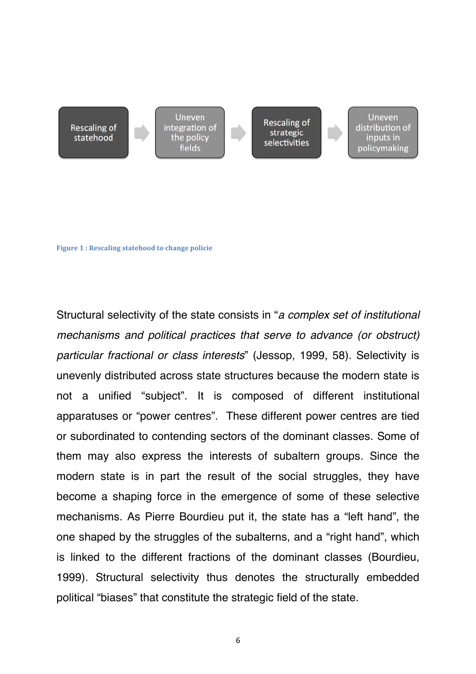**Rescaling of** statehood

Uneven integration of the policy fields

**Rescaling of** strategic selectivities

Uneven distribution of inputs in policymaking

**Figure 1: Rescaling statehood to change policie** 

Structural selectivity of the state consists in "*a complex set of institutional mechanisms and political practices that serve to advance (or obstruct) particular fractional or class interests*" (Jessop, 1999, 58). Selectivity is unevenly distributed across state structures because the modern state is not a unified "subject". It is composed of different institutional apparatuses or "power centres". These different power centres are tied or subordinated to contending sectors of the dominant classes. Some of them may also express the interests of subaltern groups. Since the modern state is in part the result of the social struggles, they have become a shaping force in the emergence of some of these selective mechanisms. As Pierre Bourdieu put it, the state has a "left hand", the one shaped by the struggles of the subalterns, and a "right hand", which is linked to the different fractions of the dominant classes (Bourdieu, 1999). Structural selectivity thus denotes the structurally embedded political "biases" that constitute the strategic field of the state.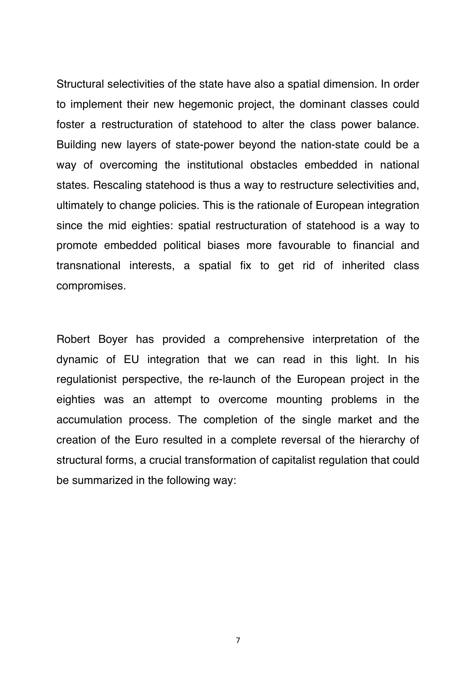Structural selectivities of the state have also a spatial dimension. In order to implement their new hegemonic project, the dominant classes could foster a restructuration of statehood to alter the class power balance. Building new layers of state-power beyond the nation-state could be a way of overcoming the institutional obstacles embedded in national states. Rescaling statehood is thus a way to restructure selectivities and, ultimately to change policies. This is the rationale of European integration since the mid eighties: spatial restructuration of statehood is a way to promote embedded political biases more favourable to financial and transnational interests, a spatial fix to get rid of inherited class compromises.

Robert Boyer has provided a comprehensive interpretation of the dynamic of EU integration that we can read in this light. In his regulationist perspective, the re-launch of the European project in the eighties was an attempt to overcome mounting problems in the accumulation process. The completion of the single market and the creation of the Euro resulted in a complete reversal of the hierarchy of structural forms, a crucial transformation of capitalist regulation that could be summarized in the following way: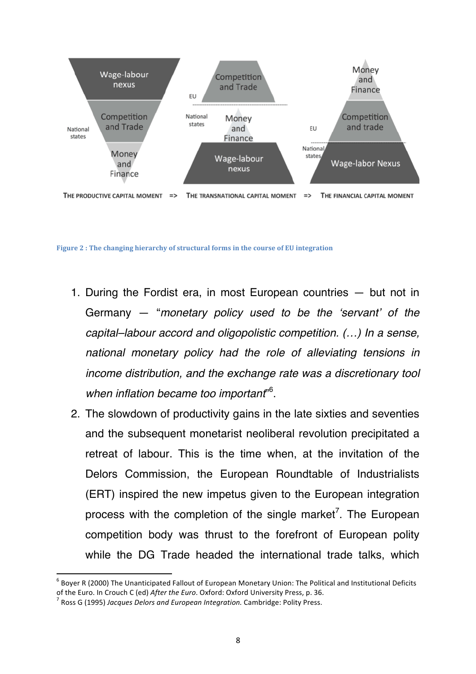

Figure 2 : The changing hierarchy of structural forms in the course of EU integration

- 1. During the Fordist era, in most European countries but not in Germany — "*monetary policy used to be the 'servant' of the capital–labour accord and oligopolistic competition. (…) In a sense, national monetary policy had the role of alleviating tensions in income distribution, and the exchange rate was a discretionary tool when inflation became too important*" 6 .
- 2. The slowdown of productivity gains in the late sixties and seventies and the subsequent monetarist neoliberal revolution precipitated a retreat of labour. This is the time when, at the invitation of the Delors Commission, the European Roundtable of Industrialists (ERT) inspired the new impetus given to the European integration process with the completion of the single market<sup>7</sup>. The European competition body was thrust to the forefront of European polity while the DG Trade headed the international trade talks, which

 $6$  Boyer R (2000) The Unanticipated Fallout of European Monetary Union: The Political and Institutional Deficits of the Euro. In Crouch C (ed) *After the Euro*. Oxford: Oxford University Press, p. 36. <sup>7</sup> Ross G (1995) *Jacques Delors and European Integration*. Cambridge: Polity Press.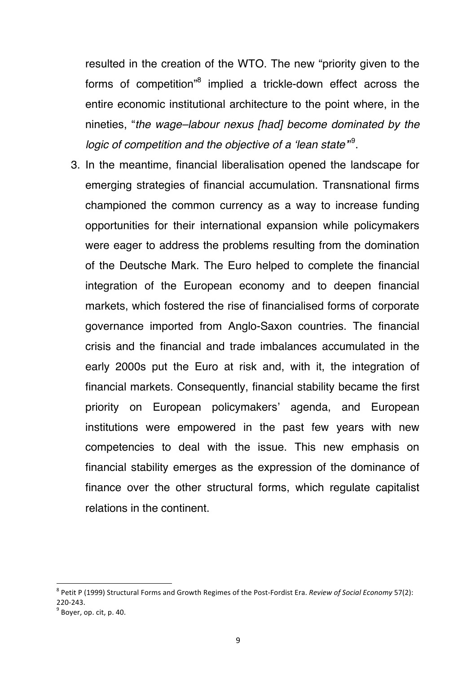resulted in the creation of the WTO. The new "priority given to the forms of competition<sup>3</sup> implied a trickle-down effect across the entire economic institutional architecture to the point where, in the nineties, "*the wage–labour nexus [had] become dominated by the*  logic of competition and the objective of a 'lean state"<sup>9</sup>.

3. In the meantime, financial liberalisation opened the landscape for emerging strategies of financial accumulation. Transnational firms championed the common currency as a way to increase funding opportunities for their international expansion while policymakers were eager to address the problems resulting from the domination of the Deutsche Mark. The Euro helped to complete the financial integration of the European economy and to deepen financial markets, which fostered the rise of financialised forms of corporate governance imported from Anglo-Saxon countries. The financial crisis and the financial and trade imbalances accumulated in the early 2000s put the Euro at risk and, with it, the integration of financial markets. Consequently, financial stability became the first priority on European policymakers' agenda, and European institutions were empowered in the past few years with new competencies to deal with the issue. This new emphasis on financial stability emerges as the expression of the dominance of finance over the other structural forms, which regulate capitalist relations in the continent.

<sup>&</sup>lt;sup>8</sup> Petit P (1999) Structural Forms and Growth Regimes of the Post-Fordist Era. *Review of Social Economy* 57(2): 220-243.<br> $9^9$  Boyer, op. cit, p. 40.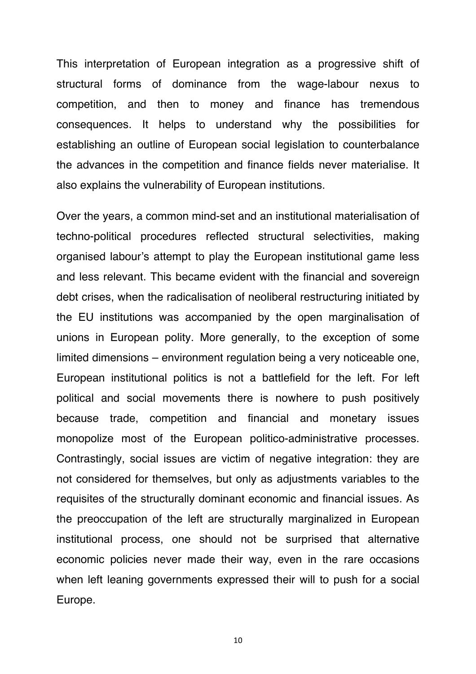This interpretation of European integration as a progressive shift of structural forms of dominance from the wage-labour nexus to competition, and then to money and finance has tremendous consequences. It helps to understand why the possibilities for establishing an outline of European social legislation to counterbalance the advances in the competition and finance fields never materialise. It also explains the vulnerability of European institutions.

Over the years, a common mind-set and an institutional materialisation of techno-political procedures reflected structural selectivities, making organised labour's attempt to play the European institutional game less and less relevant. This became evident with the financial and sovereign debt crises, when the radicalisation of neoliberal restructuring initiated by the EU institutions was accompanied by the open marginalisation of unions in European polity. More generally, to the exception of some limited dimensions – environment regulation being a very noticeable one, European institutional politics is not a battlefield for the left. For left political and social movements there is nowhere to push positively because trade, competition and financial and monetary issues monopolize most of the European politico-administrative processes. Contrastingly, social issues are victim of negative integration: they are not considered for themselves, but only as adjustments variables to the requisites of the structurally dominant economic and financial issues. As the preoccupation of the left are structurally marginalized in European institutional process, one should not be surprised that alternative economic policies never made their way, even in the rare occasions when left leaning governments expressed their will to push for a social Europe.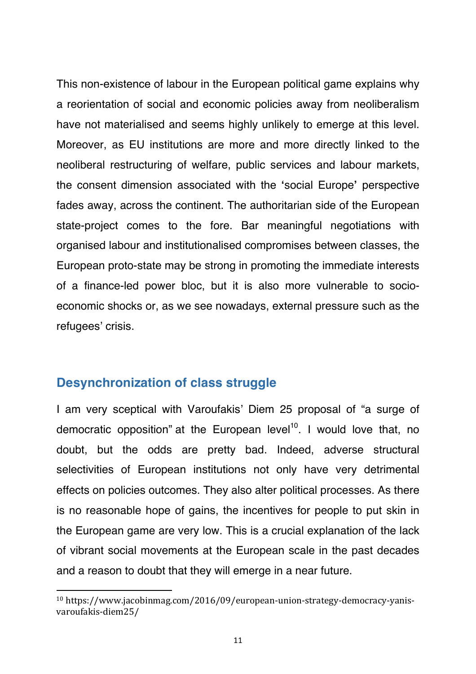This non-existence of labour in the European political game explains why a reorientation of social and economic policies away from neoliberalism have not materialised and seems highly unlikely to emerge at this level. Moreover, as EU institutions are more and more directly linked to the neoliberal restructuring of welfare, public services and labour markets, the consent dimension associated with the **'**social Europe**'** perspective fades away, across the continent. The authoritarian side of the European state-project comes to the fore. Bar meaningful negotiations with organised labour and institutionalised compromises between classes, the European proto-state may be strong in promoting the immediate interests of a finance-led power bloc, but it is also more vulnerable to socioeconomic shocks or, as we see nowadays, external pressure such as the refugees' crisis.

## **Desynchronization of class struggle**

<u> 1989 - Jan Samuel Barbara, político establecido de la provincia de la provincia de la provincia de la provinci</u>

I am very sceptical with Varoufakis' Diem 25 proposal of "a surge of democratic opposition" at the European level<sup>10</sup>. I would love that, no doubt, but the odds are pretty bad. Indeed, adverse structural selectivities of European institutions not only have very detrimental effects on policies outcomes. They also alter political processes. As there is no reasonable hope of gains, the incentives for people to put skin in the European game are very low. This is a crucial explanation of the lack of vibrant social movements at the European scale in the past decades and a reason to doubt that they will emerge in a near future.

<sup>10</sup> https://www.jacobinmag.com/2016/09/european-union-strategy-democracy-yanisvaroufakis-diem25/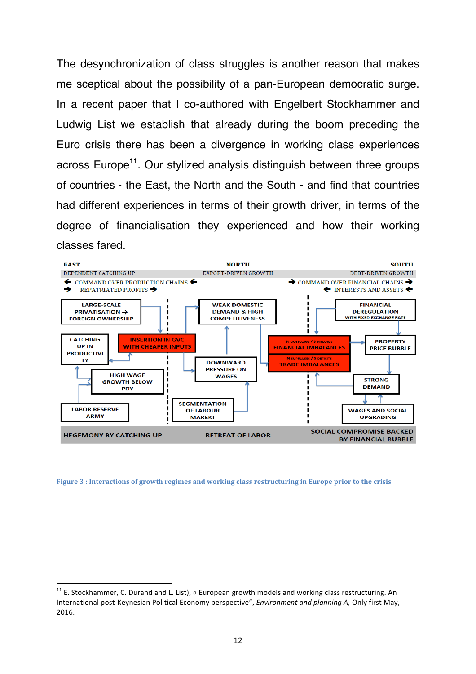The desynchronization of class struggles is another reason that makes me sceptical about the possibility of a pan-European democratic surge. In a recent paper that I co-authored with Engelbert Stockhammer and Ludwig List we establish that already during the boom preceding the Euro crisis there has been a divergence in working class experiences across Europe<sup>11</sup>. Our stylized analysis distinguish between three groups of countries - the East, the North and the South - and find that countries had different experiences in terms of their growth driver, in terms of the degree of financialisation they experienced and how their working classes fared.



Figure 3 : Interactions of growth regimes and working class restructuring in Europe prior to the crisis

 $11$  E. Stockhammer, C. Durand and L. List), « European growth models and working class restructuring. An International post-Keynesian Political Economy perspective", *Environment and planning A*, Only first May, 2016.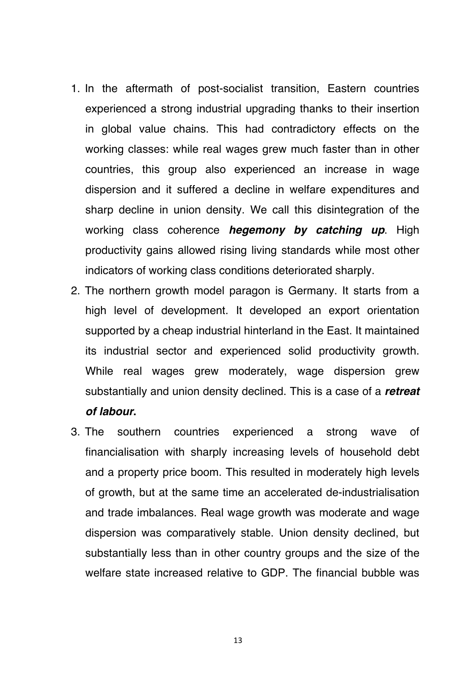- 1. In the aftermath of post-socialist transition, Eastern countries experienced a strong industrial upgrading thanks to their insertion in global value chains. This had contradictory effects on the working classes: while real wages grew much faster than in other countries, this group also experienced an increase in wage dispersion and it suffered a decline in welfare expenditures and sharp decline in union density. We call this disintegration of the working class coherence *hegemony by catching up*. High productivity gains allowed rising living standards while most other indicators of working class conditions deteriorated sharply.
- 2. The northern growth model paragon is Germany. It starts from a high level of development. It developed an export orientation supported by a cheap industrial hinterland in the East. It maintained its industrial sector and experienced solid productivity growth. While real wages grew moderately, wage dispersion grew substantially and union density declined. This is a case of a *retreat of labour***.**
- 3. The southern countries experienced a strong wave of financialisation with sharply increasing levels of household debt and a property price boom. This resulted in moderately high levels of growth, but at the same time an accelerated de-industrialisation and trade imbalances. Real wage growth was moderate and wage dispersion was comparatively stable. Union density declined, but substantially less than in other country groups and the size of the welfare state increased relative to GDP. The financial bubble was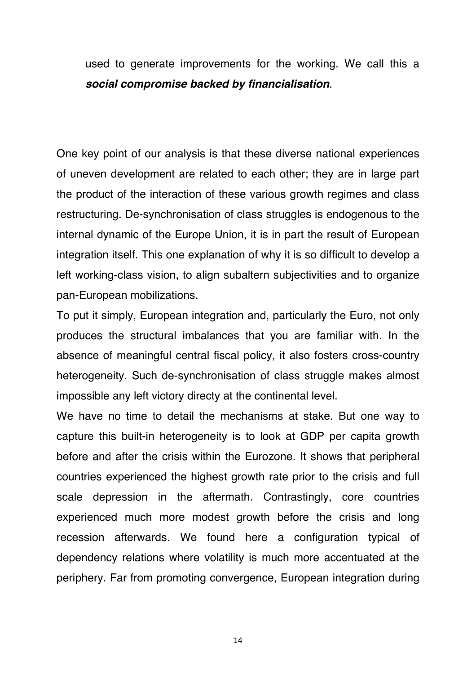used to generate improvements for the working. We call this a *social compromise backed by financialisation*.

One key point of our analysis is that these diverse national experiences of uneven development are related to each other; they are in large part the product of the interaction of these various growth regimes and class restructuring. De-synchronisation of class struggles is endogenous to the internal dynamic of the Europe Union, it is in part the result of European integration itself. This one explanation of why it is so difficult to develop a left working-class vision, to align subaltern subjectivities and to organize pan-European mobilizations.

To put it simply, European integration and, particularly the Euro, not only produces the structural imbalances that you are familiar with. In the absence of meaningful central fiscal policy, it also fosters cross-country heterogeneity. Such de-synchronisation of class struggle makes almost impossible any left victory directy at the continental level.

We have no time to detail the mechanisms at stake. But one way to capture this built-in heterogeneity is to look at GDP per capita growth before and after the crisis within the Eurozone. It shows that peripheral countries experienced the highest growth rate prior to the crisis and full scale depression in the aftermath. Contrastingly, core countries experienced much more modest growth before the crisis and long recession afterwards. We found here a configuration typical of dependency relations where volatility is much more accentuated at the periphery. Far from promoting convergence, European integration during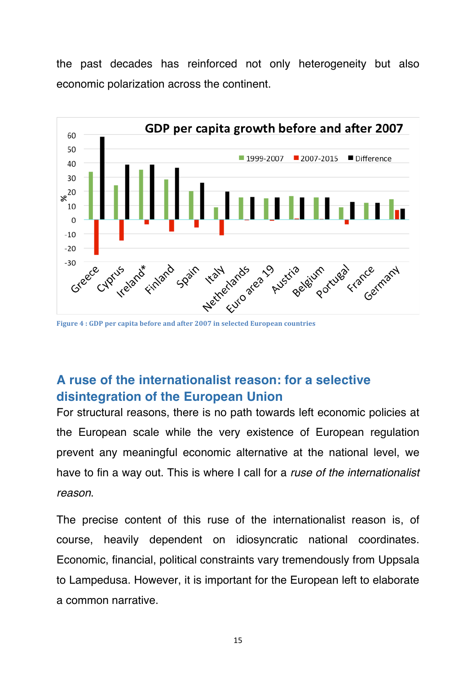the past decades has reinforced not only heterogeneity but also economic polarization across the continent.



Figure 4 : GDP per capita before and after 2007 in selected European countries

## **A ruse of the internationalist reason: for a selective disintegration of the European Union**

For structural reasons, there is no path towards left economic policies at the European scale while the very existence of European regulation prevent any meaningful economic alternative at the national level, we have to fin a way out. This is where I call for a *ruse of the internationalist reason*.

The precise content of this ruse of the internationalist reason is, of course, heavily dependent on idiosyncratic national coordinates. Economic, financial, political constraints vary tremendously from Uppsala to Lampedusa. However, it is important for the European left to elaborate a common narrative.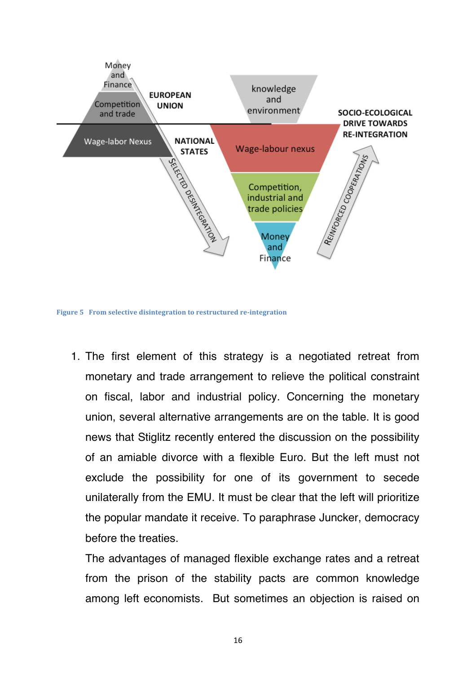

**Figure 5** From selective disintegration to restructured re-integration

1. The first element of this strategy is a negotiated retreat from monetary and trade arrangement to relieve the political constraint on fiscal, labor and industrial policy. Concerning the monetary union, several alternative arrangements are on the table. It is good news that Stiglitz recently entered the discussion on the possibility of an amiable divorce with a flexible Euro. But the left must not exclude the possibility for one of its government to secede unilaterally from the EMU. It must be clear that the left will prioritize the popular mandate it receive. To paraphrase Juncker, democracy before the treaties.

The advantages of managed flexible exchange rates and a retreat from the prison of the stability pacts are common knowledge among left economists. But sometimes an objection is raised on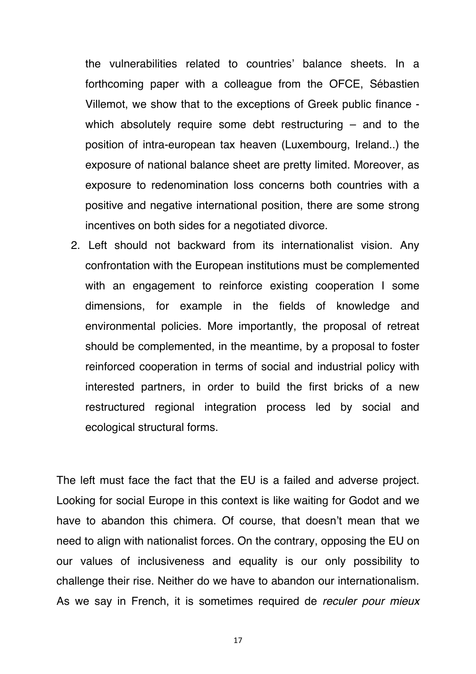the vulnerabilities related to countries' balance sheets. In a forthcoming paper with a colleague from the OFCE, Sébastien Villemot, we show that to the exceptions of Greek public finance which absolutely require some debt restructuring – and to the position of intra-european tax heaven (Luxembourg, Ireland..) the exposure of national balance sheet are pretty limited. Moreover, as exposure to redenomination loss concerns both countries with a positive and negative international position, there are some strong incentives on both sides for a negotiated divorce.

2. Left should not backward from its internationalist vision. Any confrontation with the European institutions must be complemented with an engagement to reinforce existing cooperation I some dimensions, for example in the fields of knowledge and environmental policies. More importantly, the proposal of retreat should be complemented, in the meantime, by a proposal to foster reinforced cooperation in terms of social and industrial policy with interested partners, in order to build the first bricks of a new restructured regional integration process led by social and ecological structural forms.

The left must face the fact that the EU is a failed and adverse project. Looking for social Europe in this context is like waiting for Godot and we have to abandon this chimera. Of course, that doesn't mean that we need to align with nationalist forces. On the contrary, opposing the EU on our values of inclusiveness and equality is our only possibility to challenge their rise. Neither do we have to abandon our internationalism. As we say in French, it is sometimes required de *reculer pour mieux*